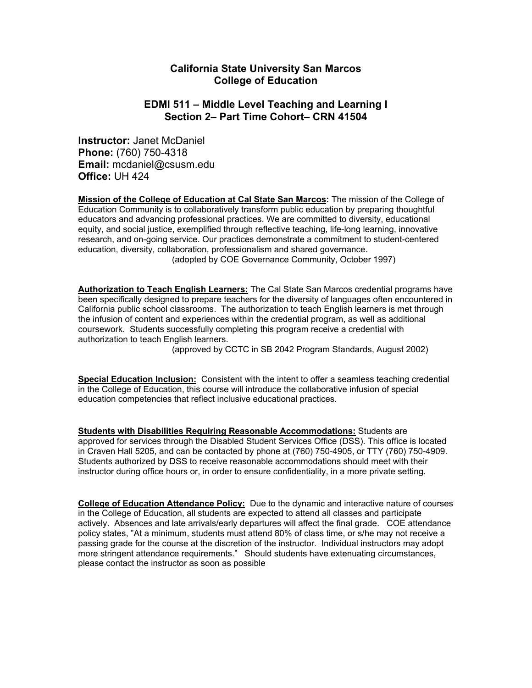# **California State University San Marcos College of Education**

# **EDMI 511 – Middle Level Teaching and Learning I Section 2– Part Time Cohort– CRN 41504**

**Instructor:** Janet McDaniel **Phone:** (760) 750-4318 **Email:** mcdaniel@csusm.edu **Office:** UH 424

**Mission of the College of Education at Cal State San Marcos:** The mission of the College of Education Community is to collaboratively transform public education by preparing thoughtful educators and advancing professional practices. We are committed to diversity, educational equity, and social justice, exemplified through reflective teaching, life-long learning, innovative research, and on-going service. Our practices demonstrate a commitment to student-centered education, diversity, collaboration, professionalism and shared governance. (adopted by COE Governance Community, October 1997)

**Authorization to Teach English Learners:** The Cal State San Marcos credential programs have been specifically designed to prepare teachers for the diversity of languages often encountered in California public school classrooms. The authorization to teach English learners is met through the infusion of content and experiences within the credential program, as well as additional coursework. Students successfully completing this program receive a credential with authorization to teach English learners.

(approved by CCTC in SB 2042 Program Standards, August 2002)

**Special Education Inclusion:** Consistent with the intent to offer a seamless teaching credential in the College of Education, this course will introduce the collaborative infusion of special education competencies that reflect inclusive educational practices.

**Students with Disabilities Requiring Reasonable Accommodations:** Students are approved for services through the Disabled Student Services Office (DSS). This office is located in Craven Hall 5205, and can be contacted by phone at (760) 750-4905, or TTY (760) 750-4909. Students authorized by DSS to receive reasonable accommodations should meet with their instructor during office hours or, in order to ensure confidentiality, in a more private setting.

**College of Education Attendance Policy:** Due to the dynamic and interactive nature of courses in the College of Education, all students are expected to attend all classes and participate actively. Absences and late arrivals/early departures will affect the final grade. COE attendance policy states, "At a minimum, students must attend 80% of class time, or s/he may not receive a passing grade for the course at the discretion of the instructor. Individual instructors may adopt more stringent attendance requirements." Should students have extenuating circumstances, please contact the instructor as soon as possible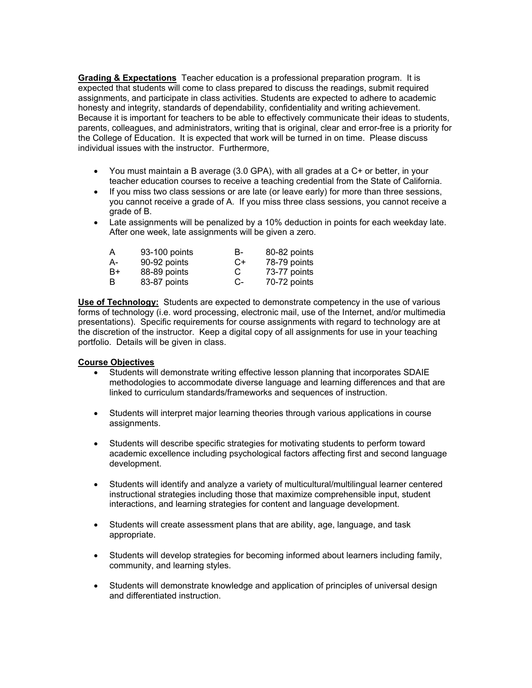**Grading & Expectations** Teacher education is a professional preparation program. It is expected that students will come to class prepared to discuss the readings, submit required assignments, and participate in class activities. Students are expected to adhere to academic honesty and integrity, standards of dependability, confidentiality and writing achievement. Because it is important for teachers to be able to effectively communicate their ideas to students, parents, colleagues, and administrators, writing that is original, clear and error-free is a priority for the College of Education. It is expected that work will be turned in on time. Please discuss individual issues with the instructor. Furthermore,

- You must maintain a B average (3.0 GPA), with all grades at a C+ or better, in your teacher education courses to receive a teaching credential from the State of California.
- If you miss two class sessions or are late (or leave early) for more than three sessions, you cannot receive a grade of A. If you miss three class sessions, you cannot receive a grade of B.
- Late assignments will be penalized by a 10% deduction in points for each weekday late. After one week, late assignments will be given a zero.

| A  | 93-100 points | В-   | 80-82 points |
|----|---------------|------|--------------|
| А- | 90-92 points  | $C+$ | 78-79 points |
| B+ | 88-89 points  | С    | 73-77 points |
| B  | 83-87 points  | C-   | 70-72 points |

**Use of Technology:** Students are expected to demonstrate competency in the use of various forms of technology (i.e. word processing, electronic mail, use of the Internet, and/or multimedia presentations). Specific requirements for course assignments with regard to technology are at the discretion of the instructor. Keep a digital copy of all assignments for use in your teaching portfolio. Details will be given in class.

# **Course Objectives**

- Students will demonstrate writing effective lesson planning that incorporates SDAIE methodologies to accommodate diverse language and learning differences and that are linked to curriculum standards/frameworks and sequences of instruction.
- Students will interpret major learning theories through various applications in course assignments.
- Students will describe specific strategies for motivating students to perform toward academic excellence including psychological factors affecting first and second language development.
- Students will identify and analyze a variety of multicultural/multilingual learner centered instructional strategies including those that maximize comprehensible input, student interactions, and learning strategies for content and language development.
- Students will create assessment plans that are ability, age, language, and task appropriate.
- Students will develop strategies for becoming informed about learners including family, community, and learning styles.
- Students will demonstrate knowledge and application of principles of universal design and differentiated instruction.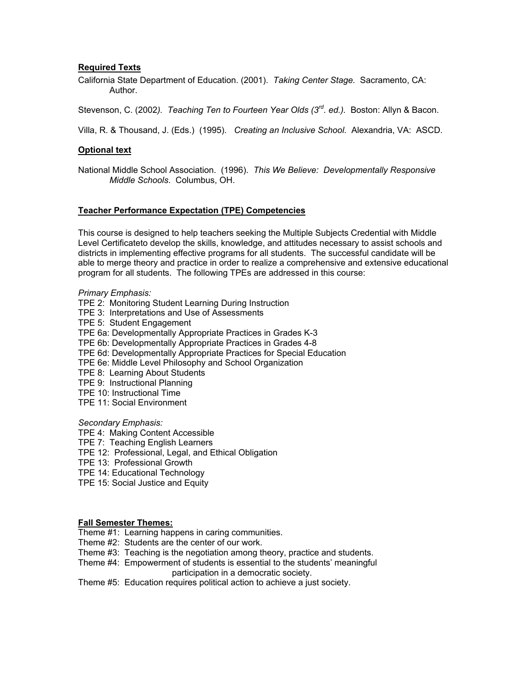# **Required Texts**

California State Department of Education. (2001). *Taking Center Stage.* Sacramento, CA: Author.

Stevenson, C. (2002*). Teaching Ten to Fourteen Year Olds (3rd. ed.).* Boston: Allyn & Bacon.

Villa, R. & Thousand, J. (Eds.) (1995). *Creating an Inclusive School.* Alexandria, VA: ASCD.

### **Optional text**

National Middle School Association. (1996). *This We Believe: Developmentally Responsive Middle Schools*. Columbus, OH.

### **Teacher Performance Expectation (TPE) Competencies**

This course is designed to help teachers seeking the Multiple Subjects Credential with Middle Level Certificateto develop the skills, knowledge, and attitudes necessary to assist schools and districts in implementing effective programs for all students. The successful candidate will be able to merge theory and practice in order to realize a comprehensive and extensive educational program for all students. The following TPEs are addressed in this course:

#### *Primary Emphasis:*

- TPE 2: Monitoring Student Learning During Instruction
- TPE 3: Interpretations and Use of Assessments
- TPE 5: Student Engagement
- TPE 6a: Developmentally Appropriate Practices in Grades K-3
- TPE 6b: Developmentally Appropriate Practices in Grades 4-8
- TPE 6d: Developmentally Appropriate Practices for Special Education
- TPE 6e: Middle Level Philosophy and School Organization
- TPE 8: Learning About Students
- TPE 9: Instructional Planning
- TPE 10: Instructional Time
- TPE 11: Social Environment

#### *Secondary Emphasis:*

- TPE 4: Making Content Accessible
- TPE 7: Teaching English Learners
- TPE 12: Professional, Legal, and Ethical Obligation
- TPE 13: Professional Growth
- TPE 14: Educational Technology
- TPE 15: Social Justice and Equity

# **Fall Semester Themes:**

- Theme #1: Learning happens in caring communities.
- Theme #2: Students are the center of our work.
- Theme #3: Teaching is the negotiation among theory, practice and students.
- Theme #4: Empowerment of students is essential to the students' meaningful participation in a democratic society.

Theme #5: Education requires political action to achieve a just society.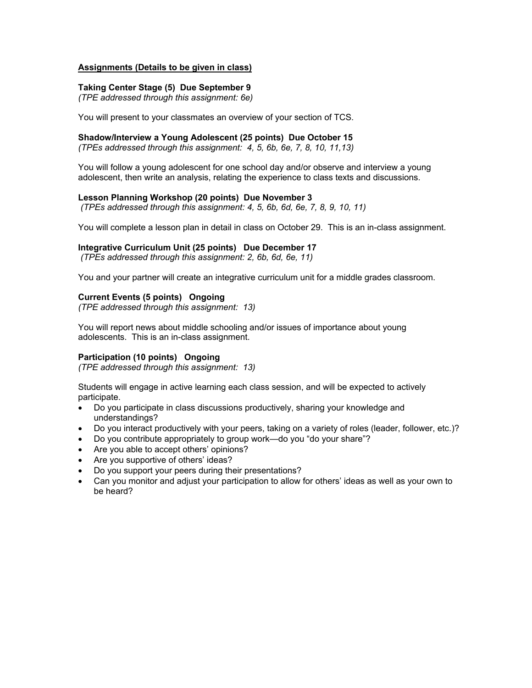# **Assignments (Details to be given in class)**

# **Taking Center Stage (5) Due September 9**

*(TPE addressed through this assignment: 6e)* 

You will present to your classmates an overview of your section of TCS.

# **Shadow/Interview a Young Adolescent (25 points) Due October 15**

*(TPEs addressed through this assignment: 4, 5, 6b, 6e, 7, 8, 10, 11,13)* 

You will follow a young adolescent for one school day and/or observe and interview a young adolescent, then write an analysis, relating the experience to class texts and discussions.

# **Lesson Planning Workshop (20 points) Due November 3**

 *(TPEs addressed through this assignment: 4, 5, 6b, 6d, 6e, 7, 8, 9, 10, 11)* 

You will complete a lesson plan in detail in class on October 29. This is an in-class assignment.

# **Integrative Curriculum Unit (25 points) Due December 17**

 *(TPEs addressed through this assignment: 2, 6b, 6d, 6e, 11)* 

You and your partner will create an integrative curriculum unit for a middle grades classroom.

# **Current Events (5 points) Ongoing**

*(TPE addressed through this assignment: 13)* 

You will report news about middle schooling and/or issues of importance about young adolescents. This is an in-class assignment.

# **Participation (10 points) Ongoing**

*(TPE addressed through this assignment: 13)* 

Students will engage in active learning each class session, and will be expected to actively participate.

- Do you participate in class discussions productively, sharing your knowledge and understandings?
- Do you interact productively with your peers, taking on a variety of roles (leader, follower, etc.)?
- Do you contribute appropriately to group work—do you "do your share"?
- Are you able to accept others' opinions?
- Are you supportive of others' ideas?
- Do you support your peers during their presentations?
- Can you monitor and adjust your participation to allow for others' ideas as well as your own to be heard?